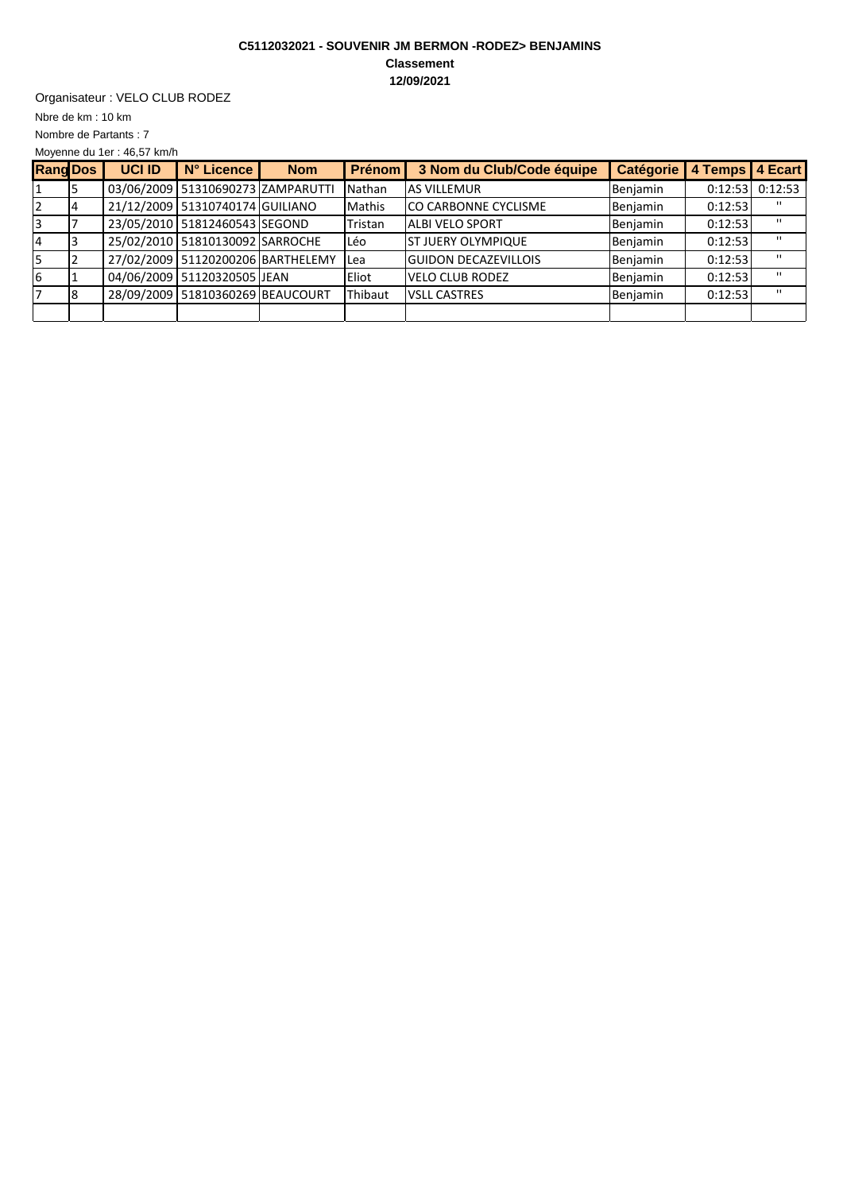## **C5112032021 - SOUVENIR JM BERMON -RODEZ> BENJAMINS Classement 12/09/2021**

Organisateur : VELO CLUB RODEZ

Nbre de km : 10 km

Moyenne du 1er : 46,57 km/h Nombre de Partants : 7

| <b>Rang Dos</b> |    | <b>UCI ID</b> | N° Licence                        | <b>Nom</b> | Prénom        | 3 Nom du Club/Code équipe   | <b>Catégorie</b> | 4 Temps 4 Ecart |              |
|-----------------|----|---------------|-----------------------------------|------------|---------------|-----------------------------|------------------|-----------------|--------------|
|                 |    |               | 03/06/2009 51310690273 ZAMPARUTTI |            | Nathan        | <b>AS VILLEMUR</b>          | Benjamin         | 0:12:53         | 0:12:53      |
|                 |    |               | 21/12/2009 51310740174 GUILIANO   |            | <b>Mathis</b> | <b>CO CARBONNE CYCLISME</b> | Benjamin         | 0:12:53         | $\mathbf{H}$ |
|                 |    |               | 23/05/2010 51812460543 SEGOND     |            | Tristan       | <b>ALBI VELO SPORT</b>      | Benjamin         | 0:12:53         | $\mathbf{H}$ |
|                 |    |               | 25/02/2010 51810130092 SARROCHE   |            | Léo           | <b>ST JUERY OLYMPIQUE</b>   | Benjamin         | 0:12:53         | $\mathbf{H}$ |
|                 |    |               | 27/02/2009 51120200206 BARTHELEMY |            | <b>ILea</b>   | <b>GUIDON DECAZEVILLOIS</b> | Benjamin         | 0:12:53         | $\mathbf{H}$ |
| 16              |    |               | 04/06/2009 51120320505 JEAN       |            | Eliot         | <b>VELO CLUB RODEZ</b>      | Benjamin         | 0:12:53         | $\mathbf{H}$ |
|                 | 18 |               | 28/09/2009 51810360269 BEAUCOURT  |            | Thibaut       | <b>VSLL CASTRES</b>         | Benjamin         | 0:12:53         | $\mathbf{H}$ |
|                 |    |               |                                   |            |               |                             |                  |                 |              |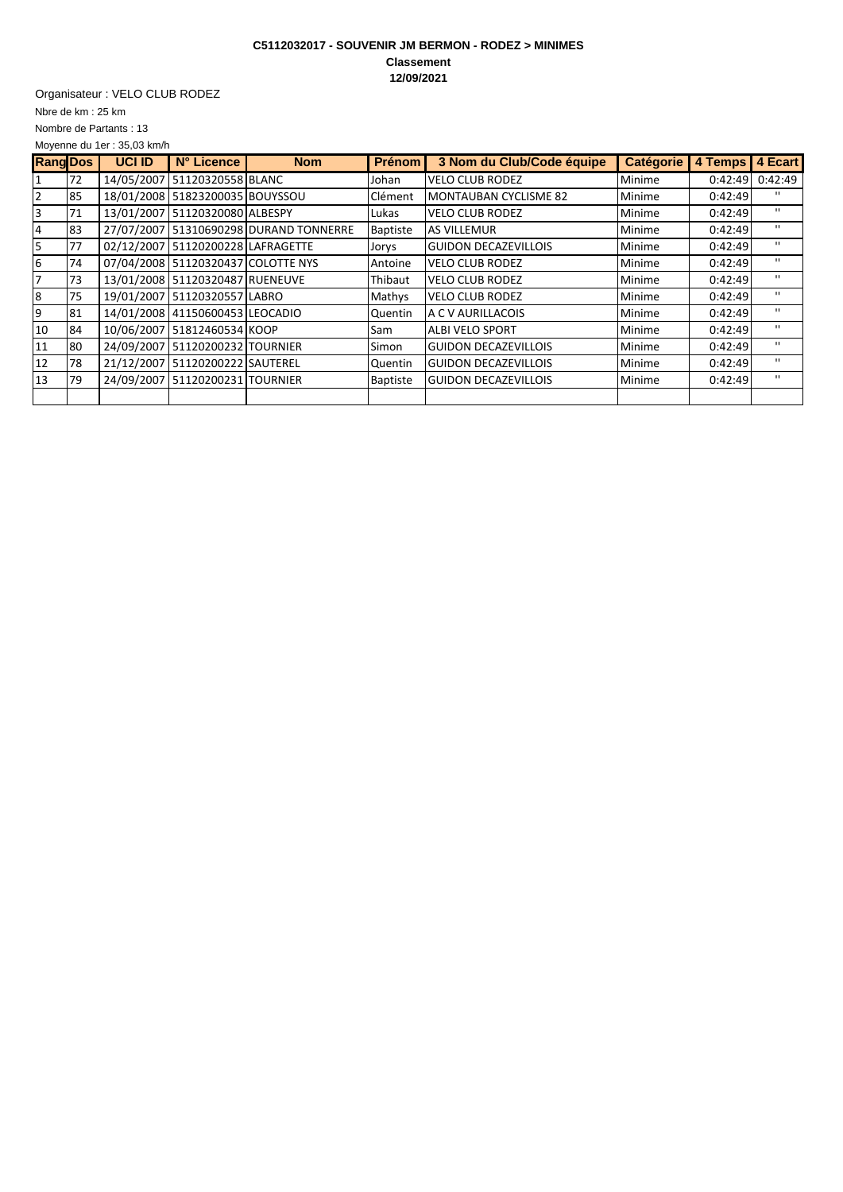## **C5112032017 - SOUVENIR JM BERMON - RODEZ > MINIMES Classement 12/09/2021**

Organisateur : VELO CLUB RODEZ

Nbre de km : 25 km

Moyenne du 1er : 35,03 km/h Nombre de Partants : 13

| <b>Rang Dos</b> |    | <b>UCI ID</b> | N° Licence                         | <b>Nom</b>                             | <b>Prénom</b>   | 3 Nom du Club/Code équipe   | <b>Catégorie</b> | 4 Temps | 4 Ecart        |
|-----------------|----|---------------|------------------------------------|----------------------------------------|-----------------|-----------------------------|------------------|---------|----------------|
|                 | 72 |               | 14/05/2007 51120320558 BLANC       |                                        | Johan           | <b>VELO CLUB RODEZ</b>      | Minime           | 0:42:49 | 0:42:49        |
|                 | 85 |               | 18/01/2008 51823200035 BOUYSSOU    |                                        | Clément         | MONTAUBAN CYCLISME 82       | Minime           | 0:42:49 | $\mathbf{H}$   |
| 3               | 71 |               | 13/01/2007 51120320080 ALBESPY     |                                        | Lukas           | <b>VELO CLUB RODEZ</b>      | Minime           | 0:42:49 | $\blacksquare$ |
| 4               | 83 |               |                                    | 27/07/2007 51310690298 DURAND TONNERRE | <b>Baptiste</b> | <b>AS VILLEMUR</b>          | Minime           | 0:42:49 | п.             |
| 5               | 77 |               | 02/12/2007 51120200228 LAFRAGETTE  |                                        | Jorys           | <b>GUIDON DECAZEVILLOIS</b> | Minime           | 0:42:49 | $\blacksquare$ |
| 6               | 74 |               | 07/04/2008 51120320437 COLOTTE NYS |                                        | Antoine         | <b>VELO CLUB RODEZ</b>      | Minime           | 0:42:49 | $\mathbf{H}$   |
| 7               | 73 |               | 13/01/2008 51120320487 RUENEUVE    |                                        | Thibaut         | <b>VELO CLUB RODEZ</b>      | Minime           | 0:42:49 | $\blacksquare$ |
| 8               | 75 |               | 19/01/2007 51120320557 LABRO       |                                        | Mathys          | <b>VELO CLUB RODEZ</b>      | Minime           | 0:42:49 | $\blacksquare$ |
| 9               | 81 |               | 14/01/2008 41150600453 LEOCADIO    |                                        | Quentin         | <b>A C V AURILLACOIS</b>    | Minime           | 0:42:49 | $\mathbf{H}$   |
| 10              | 84 |               | 10/06/2007 51812460534 KOOP        |                                        | Sam             | <b>ALBI VELO SPORT</b>      | Minime           | 0:42:49 | $\blacksquare$ |
| 11              | 80 |               | 24/09/2007 51120200232 TOURNIER    |                                        | Simon           | <b>GUIDON DECAZEVILLOIS</b> | Minime           | 0:42:49 | $\blacksquare$ |
| 12              | 78 |               | 21/12/2007 51120200222 SAUTEREL    |                                        | Quentin         | <b>GUIDON DECAZEVILLOIS</b> | Minime           | 0:42:49 | п.             |
| 13              | 79 |               | 24/09/2007 51120200231 TOURNIER    |                                        | <b>Baptiste</b> | <b>GUIDON DECAZEVILLOIS</b> | Minime           | 0:42:49 | $\blacksquare$ |
|                 |    |               |                                    |                                        |                 |                             |                  |         |                |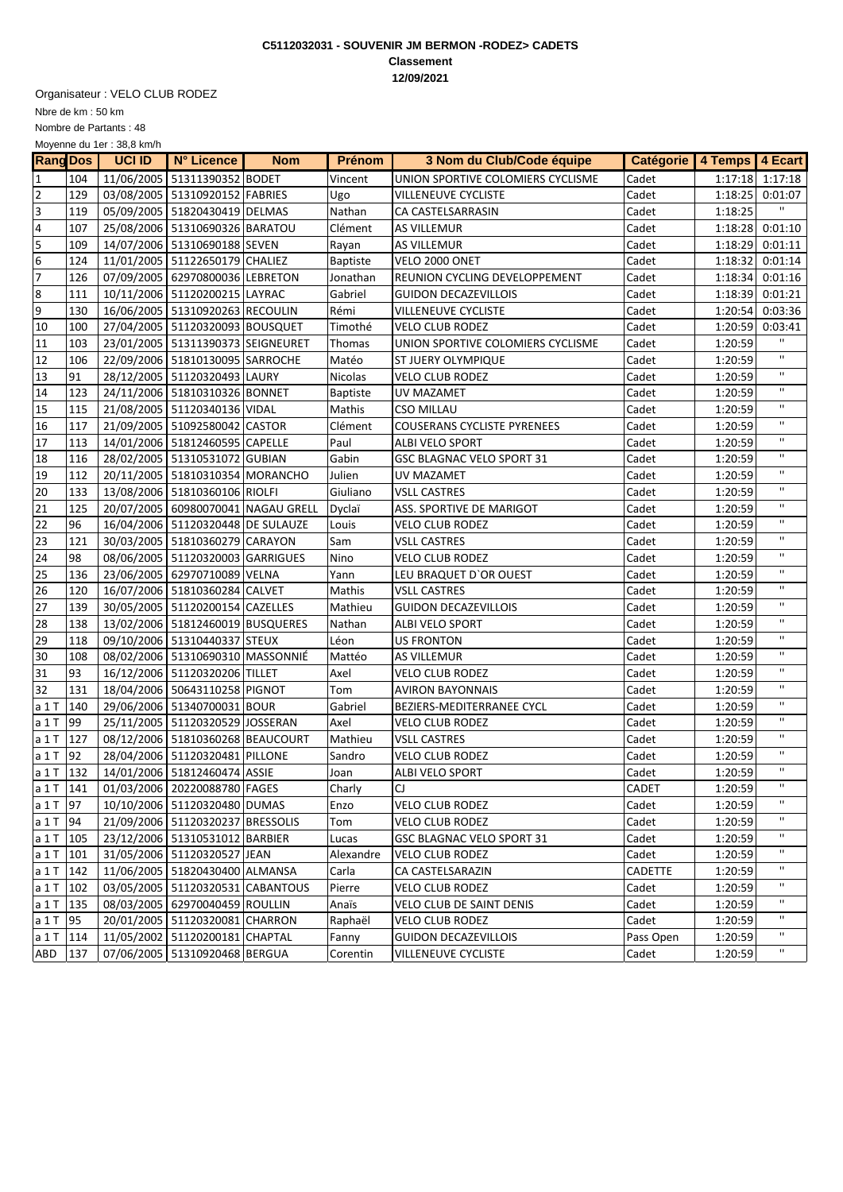## **C5112032031 - SOUVENIR JM BERMON -RODEZ> CADETS Classement 12/09/2021**

Organisateur : VELO CLUB RODEZ

Nbre de km : 50 km

Moyenne du 1er : 38,8 km/h Nombre de Partants : 48

| <b>Rang Dos</b> |           | <b>UCI ID</b> | $N^{\circ}$ Licence                            | <b>Nom</b>                         | Prénom          | 3 Nom du Club/Code équipe            | Catégorie   4 Temps   4 Ecart |         |                                         |
|-----------------|-----------|---------------|------------------------------------------------|------------------------------------|-----------------|--------------------------------------|-------------------------------|---------|-----------------------------------------|
| 1               | 104       |               | 11/06/2005 51311390352 BODET                   |                                    | Vincent         | UNION SPORTIVE COLOMIERS CYCLISME    | Cadet                         |         | $1:17:18$ 1:17:18                       |
| $\mathbf 2$     | 129       |               | 03/08/2005 51310920152 FABRIES                 |                                    | Ugo             | <b>VILLENEUVE CYCLISTE</b>           | Cadet                         |         | 1:18:25 0:01:07                         |
| 3               | 119       |               | 05/09/2005 51820430419 DELMAS                  |                                    | Nathan          | CA CASTELSARRASIN                    | Cadet                         | 1:18:25 | $\mathbf{H}$                            |
| 4               | 107       |               | 25/08/2006 51310690326 BARATOU                 |                                    | Clément         | <b>AS VILLEMUR</b>                   | Cadet                         |         | 1:18:28 0:01:10                         |
| 5               | 109       |               | 14/07/2006 51310690188 SEVEN                   |                                    | Rayan           | <b>AS VILLEMUR</b>                   | Cadet                         |         | 1:18:29 0:01:11                         |
| 6               | 124       |               | 11/01/2005   51122650179 CHALIEZ               |                                    | <b>Baptiste</b> | VELO 2000 ONET                       | Cadet                         |         | 1:18:32 0:01:14                         |
| $\overline{7}$  | 126       |               | 07/09/2005 62970800036 LEBRETON                |                                    | Jonathan        | <b>REUNION CYCLING DEVELOPPEMENT</b> | Cadet                         |         | 1:18:34 0:01:16                         |
| 8               | 111       |               | 10/11/2006 51120200215 LAYRAC                  |                                    | Gabriel         | <b>GUIDON DECAZEVILLOIS</b>          | Cadet                         |         | 1:18:39 0:01:21                         |
| 9               | 130       |               | 16/06/2005   51310920263   RECOULIN            |                                    | Rémi            | VILLENEUVE CYCLISTE                  | Cadet                         |         | 1:20:54 0:03:36                         |
| 10              | 100       |               | 27/04/2005   51120320093   BOUSQUET            |                                    | Timothé         | <b>VELO CLUB RODEZ</b>               | Cadet                         | 1:20:59 | 0:03:41                                 |
| 11              | 103       |               | 23/01/2005 51311390373 SEIGNEURET              |                                    | Thomas          | UNION SPORTIVE COLOMIERS CYCLISME    | Cadet                         | 1:20:59 | $\mathbf{H}$                            |
| 12              | 106       |               | 22/09/2006 51810130095 SARROCHE                |                                    | Matéo           | <b>ST JUERY OLYMPIQUE</b>            | Cadet                         | 1:20:59 | $\mathbf{H}$                            |
| 13              | 91        |               | 28/12/2005   51120320493 LAURY                 |                                    | Nicolas         | <b>VELO CLUB RODEZ</b>               | Cadet                         | 1:20:59 | $\mathbf{H}$                            |
| 14              | 123       |               | 24/11/2006 51810310326 BONNET                  |                                    | <b>Baptiste</b> | UV MAZAMET                           | Cadet                         | 1:20:59 | $\mathbf{H}$                            |
| 15              | 115       |               | 21/08/2005 51120340136 VIDAL                   |                                    | Mathis          | <b>CSO MILLAU</b>                    | Cadet                         | 1:20:59 | $\mathbf{H}$                            |
| 16              | 117       |               | 21/09/2005   51092580042 CASTOR                |                                    | Clément         | <b>COUSERANS CYCLISTE PYRENEES</b>   | Cadet                         | 1:20:59 | $\mathbf{H}$                            |
| 17              | 113       |               | 14/01/2006 51812460595 CAPELLE                 |                                    | Paul            | ALBI VELO SPORT                      | Cadet                         | 1:20:59 | $\mathbf{H}$                            |
| 18              | 116       |               | 28/02/2005 51310531072 GUBIAN                  |                                    | Gabin           | <b>GSC BLAGNAC VELO SPORT 31</b>     | Cadet                         | 1:20:59 | $\mathbf{H}$                            |
| 19              | 112       |               | 20/11/2005   51810310354 MORANCHO              |                                    | Julien          | <b>UV MAZAMET</b>                    | Cadet                         | 1:20:59 | $\mathbf{H}$                            |
| 20              | 133       |               | 13/08/2006 51810360106 RIOLFI                  |                                    | Giuliano        | <b>VSLL CASTRES</b>                  | Cadet                         | 1:20:59 | $\mathbf{H}$                            |
| 21              | 125       |               |                                                | 20/07/2005 60980070041 NAGAU GRELL | Dyclaï          | ASS. SPORTIVE DE MARIGOT             | Cadet                         | 1:20:59 | $\mathbf{H}$                            |
| 22              | 96        |               | 16/04/2006 51120320448 DE SULAUZE              |                                    | Louis           | <b>VELO CLUB RODEZ</b>               | Cadet                         | 1:20:59 | $\mathbf{H}$                            |
| 23              | 121       |               | 30/03/2005 51810360279 CARAYON                 |                                    | Sam             | <b>VSLL CASTRES</b>                  | Cadet                         | 1:20:59 | $\mathbf{H}$                            |
| 24              | 98        |               | 08/06/2005   51120320003 GARRIGUES             |                                    | Nino            | <b>VELO CLUB RODEZ</b>               | Cadet                         | 1:20:59 | $\mathbf{H}$                            |
| 25              | 136       |               | 23/06/2005 62970710089 VELNA                   |                                    | Yann            | LEU BRAQUET D'OR OUEST               | Cadet                         | 1:20:59 | $\mathbf{H}$                            |
| 26              | 120       |               | 16/07/2006 51810360284 CALVET                  |                                    | Mathis          | <b>VSLL CASTRES</b>                  | Cadet                         | 1:20:59 | $\mathbf{H}$                            |
| 27              | 139       |               | 30/05/2005   51120200154 CAZELLES              |                                    | Mathieu         | <b>GUIDON DECAZEVILLOIS</b>          | Cadet                         | 1:20:59 | $\mathbf{H}$                            |
| 28              | 138       |               | 13/02/2006 51812460019 BUSQUERES               |                                    | Nathan          | ALBI VELO SPORT                      | Cadet                         | 1:20:59 | $\mathbf{H}$                            |
| 29              | 118       |               | 09/10/2006 51310440337 STEUX                   |                                    | Léon            | <b>US FRONTON</b>                    | Cadet                         | 1:20:59 | $\mathbf{H}$                            |
| 30              | 108       |               | 08/02/2006 51310690310 MASSONNIÉ               |                                    | Mattéo          | <b>AS VILLEMUR</b>                   | Cadet                         | 1:20:59 | $\mathbf{H}$                            |
| 31              | 93        |               | 16/12/2006 51120320206 TILLET                  |                                    | Axel            | <b>VELO CLUB RODEZ</b>               | Cadet                         | 1:20:59 | $\mathbf{H}$                            |
| 32              | 131       |               | 18/04/2006 50643110258 PIGNOT                  |                                    | Tom             | <b>AVIRON BAYONNAIS</b>              | Cadet                         | 1:20:59 | $\mathbf{H}$                            |
| $a1$ T          | 140       |               | 29/06/2006 51340700031 BOUR                    |                                    | Gabriel         | BEZIERS-MEDITERRANEE CYCL            | Cadet                         | 1:20:59 | $\mathbf{H}$                            |
| a 1T            | <b>99</b> |               | 25/11/2005 51120320529 JOSSERAN                |                                    | Axel            | <b>VELO CLUB RODEZ</b>               | Cadet                         | 1:20:59 | $\mathbf{H}$                            |
| a 1T            | 127       |               | 08/12/2006 51810360268 BEAUCOURT               |                                    | Mathieu         | <b>VSLL CASTRES</b>                  | Cadet                         | 1:20:59 | $\mathbf{H}$                            |
| a 1T            | 92        |               | 28/04/2006 51120320481 PILLONE                 |                                    | Sandro          | <b>VELO CLUB RODEZ</b>               | Cadet                         | 1:20:59 | $\mathbf{H}$<br>$\overline{\mathbf{u}}$ |
| a $1T$ 132      |           |               | 14/01/2006 51812460474 ASSIE                   |                                    | Joan            | ALBI VELO SPORT                      | Cadet                         | 1:20:59 | $\mathbf{H}$                            |
|                 |           |               | a 1 T   141   01/03/2006   20220088780   FAGES |                                    | Charly          | C1                                   | CADET                         | 1:20:59 | $\mathbf{H}$                            |
| a 1 T   97      |           |               | 10/10/2006   51120320480   DUMAS               |                                    | Enzo            | <b>VELO CLUB RODEZ</b>               | Cadet                         | 1:20:59 |                                         |
| a $1T$ 94       |           |               | 21/09/2006 51120320237 BRESSOLIS               |                                    | Tom             | <b>VELO CLUB RODEZ</b>               | Cadet                         | 1:20:59 | $\mathbf{H}$                            |
| $a 1 T$ 105     |           |               | 23/12/2006 51310531012 BARBIER                 |                                    | Lucas           | GSC BLAGNAC VELO SPORT 31            | Cadet                         | 1:20:59 | $\mathbf{H}$                            |
| a 1 T 101       |           |               | 31/05/2006 51120320527 JEAN                    |                                    | Alexandre       | <b>VELO CLUB RODEZ</b>               | Cadet                         | 1:20:59 | п                                       |
| $a 1T$ 142      |           |               | 11/06/2005   51820430400 ALMANSA               |                                    | Carla           | CA CASTELSARAZIN                     | CADETTE                       | 1:20:59 | $\mathbf{H}$                            |
| a 1 T   102     |           |               | 03/05/2005   51120320531 CABANTOUS             |                                    | Pierre          | <b>VELO CLUB RODEZ</b>               | Cadet                         | 1:20:59 | $\mathbf{H}$<br>$\mathbf{H}$            |
| a 1 T   135     |           |               | 08/03/2005 62970040459 ROULLIN                 |                                    | Anaïs           | VELO CLUB DE SAINT DENIS             | Cadet                         | 1:20:59 |                                         |
| a $1T$ 95       |           |               | 20/01/2005   51120320081 CHARRON               |                                    | Raphaël         | <b>VELO CLUB RODEZ</b>               | Cadet                         | 1:20:59 | п<br>$\mathbf{H}$                       |
| $a 1 T$ 114     |           |               | 11/05/2002   51120200181 CHAPTAL               |                                    | Fanny           | <b>GUIDON DECAZEVILLOIS</b>          | Pass Open                     | 1:20:59 | $\mathbf{H}$                            |
| ABD 137         |           |               | 07/06/2005 51310920468 BERGUA                  |                                    | Corentin        | <b>VILLENEUVE CYCLISTE</b>           | Cadet                         | 1:20:59 |                                         |